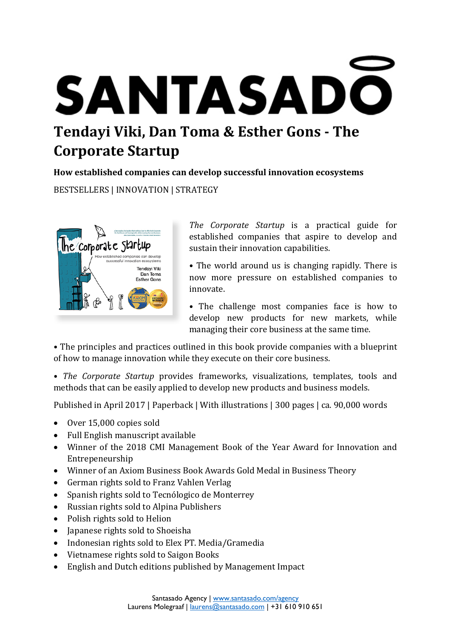# **SANTASADO Tendayi Viki, Dan Toma & Esther Gons - The Corporate Startup**

**How established companies can develop successful innovation ecosystems**

BESTSELLERS | INNOVATION | STRATEGY



*The Corporate Startup* is a practical guide for established companies that aspire to develop and sustain their innovation capabilities.

• The world around us is changing rapidly. There is now more pressure on established companies to innovate.

• The challenge most companies face is how to develop new products for new markets, while managing their core business at the same time.

• The principles and practices outlined in this book provide companies with a blueprint of how to manage innovation while they execute on their core business.

• *The Corporate Startup* provides frameworks, visualizations, templates, tools and methods that can be easily applied to develop new products and business models.

Published in April 2017 | Paperback | With illustrations | 300 pages | ca. 90,000 words

- Over 15,000 copies sold
- Full English manuscript available
- Winner of the 2018 CMI Management Book of the Year Award for Innovation and Entrepeneurship
- Winner of an Axiom Business Book Awards Gold Medal in Business Theory
- German rights sold to Franz Vahlen Verlag
- Spanish rights sold to Tecnólogico de Monterrey
- Russian rights sold to Alpina Publishers
- Polish rights sold to Helion
- Japanese rights sold to Shoeisha
- Indonesian rights sold to Elex PT. Media/Gramedia
- Vietnamese rights sold to Saigon Books
- English and Dutch editions published by Management Impact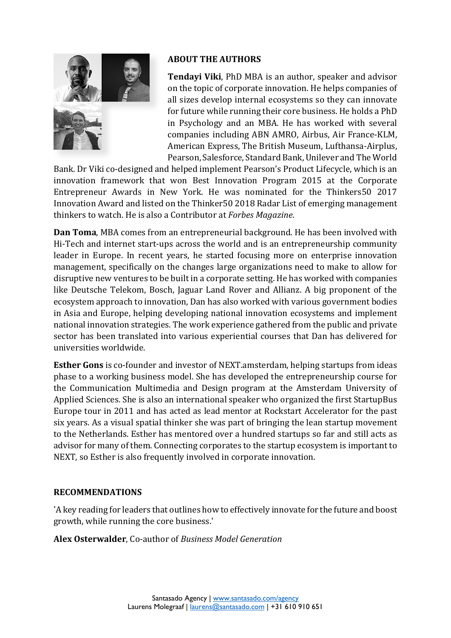

#### **ABOUT THE AUTHORS**

**Tendayi Viki**, PhD MBA is an author, speaker and advisor on the topic of corporate innovation. He helps companies of all sizes develop internal ecosystems so they can innovate for future while running their core business. He holds a PhD in Psychology and an MBA. He has worked with several companies including ABN AMRO, Airbus, Air France-KLM, American Express, The British Museum, Lufthansa-Airplus, Pearson, Salesforce, Standard Bank, Unilever and The World

Bank. Dr Viki co-designed and helped implement Pearson's Product Lifecycle, which is an innovation framework that won Best Innovation Program 2015 at the Corporate Entrepreneur Awards in New York. He was nominated for the Thinkers50 2017 Innovation Award and listed on the Thinker50 2018 Radar List of emerging management thinkers to watch. He is also a Contributor at *Forbes Magazine*.

**Dan Toma**, MBA comes from an entrepreneurial background. He has been involved with Hi-Tech and internet start-ups across the world and is an entrepreneurship community leader in Europe. In recent years, he started focusing more on enterprise innovation management, specifically on the changes large organizations need to make to allow for disruptive new ventures to be built in a corporate setting. He has worked with companies like Deutsche Telekom, Bosch, Jaguar Land Rover and Allianz. A big proponent of the ecosystem approach to innovation, Dan has also worked with various government bodies in Asia and Europe, helping developing national innovation ecosystems and implement national innovation strategies. The work experience gathered from the public and private sector has been translated into various experiential courses that Dan has delivered for universities worldwide.

**Esther Gons** is co-founder and investor of NEXT.amsterdam, helping startups from ideas phase to a working business model. She has developed the entrepreneurship course for the Communication Multimedia and Design program at the Amsterdam University of Applied Sciences. She is also an international speaker who organized the first StartupBus Europe tour in 2011 and has acted as lead mentor at Rockstart Accelerator for the past six years. As a visual spatial thinker she was part of bringing the lean startup movement to the Netherlands. Esther has mentored over a hundred startups so far and still acts as advisor for many of them. Connecting corporates to the startup ecosystem is important to NEXT, so Esther is also frequently involved in corporate innovation.

## **RECOMMENDATIONS**

'A key reading for leaders that outlines how to effectively innovate for the future and boost growth, while running the core business.'

**Alex Osterwalder**, Co-author of *Business Model Generation*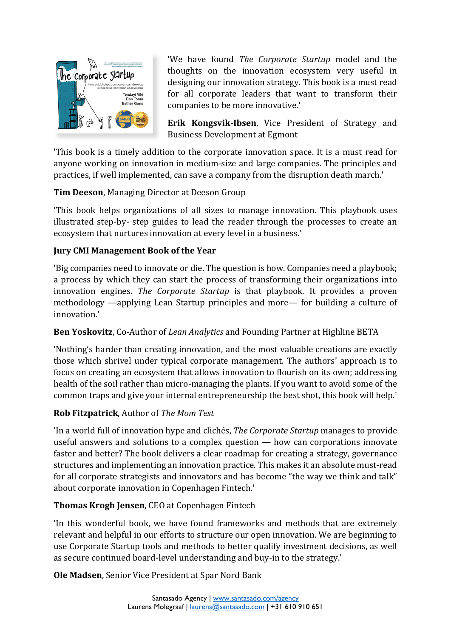

'We have found *The Corporate Startup* model and the thoughts on the innovation ecosystem very useful in designing our innovation strategy. This book is a must read for all corporate leaders that want to transform their companies to be more innovative.'

**Erik Kongsvik-Ibsen**, Vice President of Strategy and Business Development at Egmont

'This book is a timely addition to the corporate innovation space. It is a must read for anyone working on innovation in medium-size and large companies. The principles and practices, if well implemented, can save a company from the disruption death march.'

# **Tim Deeson**, Managing Director at Deeson Group

'This book helps organizations of all sizes to manage innovation. This playbook uses illustrated step-by- step guides to lead the reader through the processes to create an ecosystem that nurtures innovation at every level in a business.'

# **Jury CMI Management Book of the Year**

'Big companies need to innovate or die. The question is how. Companies need a playbook; a process by which they can start the process of transforming their organizations into innovation engines. *The Corporate Startup* is that playbook. It provides a proven methodology —applying Lean Startup principles and more— for building a culture of innovation.'

# **Ben Yoskovitz**, Co-Author of *Lean Analytics* and Founding Partner at Highline BETA

'Nothing's harder than creating innovation, and the most valuable creations are exactly those which shrivel under typical corporate management. The authors' approach is to focus on creating an ecosystem that allows innovation to flourish on its own; addressing health of the soil rather than micro-managing the plants. If you want to avoid some of the common traps and give your internal entrepreneurship the best shot, this book will help.'

# **Rob Fitzpatrick**, Author of *The Mom Test*

'In a world full of innovation hype and clichés, *The Corporate Startup* manages to provide useful answers and solutions to a complex question — how can corporations innovate faster and better? The book delivers a clear roadmap for creating a strategy, governance structures and implementing an innovation practice. This makes it an absolute must-read for all corporate strategists and innovators and has become "the way we think and talk" about corporate innovation in Copenhagen Fintech.'

# **Thomas Krogh Jensen**, CEO at Copenhagen Fintech

'In this wonderful book, we have found frameworks and methods that are extremely relevant and helpful in our efforts to structure our open innovation. We are beginning to use Corporate Startup tools and methods to better qualify investment decisions, as well as secure continued board-level understanding and buy-in to the strategy.'

**Ole Madsen**, Senior Vice President at Spar Nord Bank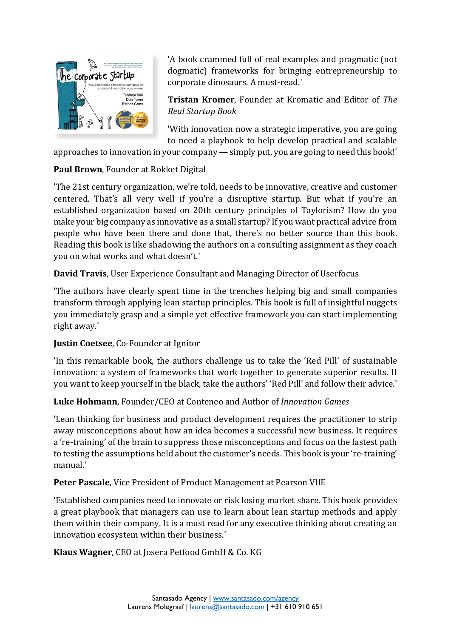

'A book crammed full of real examples and pragmatic (not dogmatic) frameworks for bringing entrepreneurship to corporate dinosaurs. A must-read.'

**Tristan Kromer**, Founder at Kromatic and Editor of *The Real Startup Book*

'With innovation now a strategic imperative, you are going to need a playbook to help develop practical and scalable

approaches to innovation in your company — simply put, you are going to need this book!'

#### **Paul Brown**, Founder at Rokket Digital

'The 21st century organization, we're told, needs to be innovative, creative and customer centered. That's all very well if you're a disruptive startup. But what if you're an established organization based on 20th century principles of Taylorism? How do you make your big company as innovative as a small startup? If you want practical advice from people who have been there and done that, there's no better source than this book. Reading this book is like shadowing the authors on a consulting assignment as they coach you on what works and what doesn't.'

**David Travis**, User Experience Consultant and Managing Director of Userfocus

'The authors have clearly spent time in the trenches helping big and small companies transform through applying lean startup principles. This book is full of insightful nuggets you immediately grasp and a simple yet effective framework you can start implementing right away.'

#### **Justin Coetsee**, Co-Founder at Ignitor

'In this remarkable book, the authors challenge us to take the 'Red Pill' of sustainable innovation: a system of frameworks that work together to generate superior results. If you want to keep yourself in the black, take the authors' 'Red Pill' and follow their advice.'

#### **Luke Hohmann**, Founder/CEO at Conteneo and Author of *Innovation Games*

'Lean thinking for business and product development requires the practitioner to strip away misconceptions about how an idea becomes a successful new business. It requires a 're-training' of the brain to suppress those misconceptions and focus on the fastest path to testing the assumptions held about the customer's needs. This book is your 're-training' manual.'

#### **Peter Pascale**, Vice President of Product Management at Pearson VUE

'Established companies need to innovate or risk losing market share. This book provides a great playbook that managers can use to learn about lean startup methods and apply them within their company. It is a must read for any executive thinking about creating an innovation ecosystem within their business.'

**Klaus Wagner**, CEO at Josera Petfood GmbH & Co. KG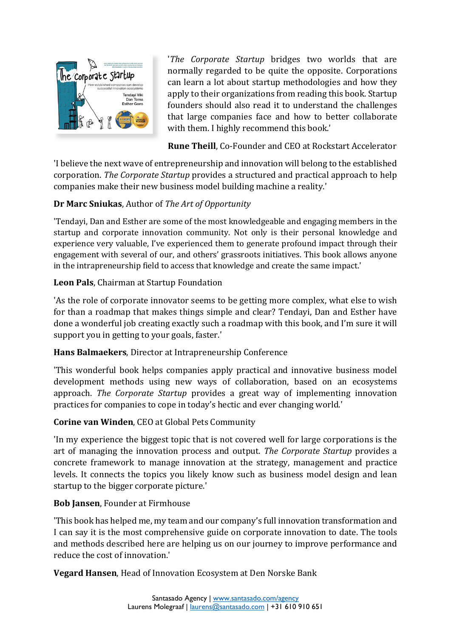

'*The Corporate Startup* bridges two worlds that are normally regarded to be quite the opposite. Corporations can learn a lot about startup methodologies and how they apply to their organizations from reading this book. Startup founders should also read it to understand the challenges that large companies face and how to better collaborate with them. I highly recommend this book.'

**Rune Theill**, Co-Founder and CEO at Rockstart Accelerator

'I believe the next wave of entrepreneurship and innovation will belong to the established corporation. *The Corporate Startup* provides a structured and practical approach to help companies make their new business model building machine a reality.'

# **Dr Marc Sniukas**, Author of *The Art of Opportunity*

'Tendayi, Dan and Esther are some of the most knowledgeable and engaging members in the startup and corporate innovation community. Not only is their personal knowledge and experience very valuable, I've experienced them to generate profound impact through their engagement with several of our, and others' grassroots initiatives. This book allows anyone in the intrapreneurship field to access that knowledge and create the same impact.'

# **Leon Pals**, Chairman at Startup Foundation

'As the role of corporate innovator seems to be getting more complex, what else to wish for than a roadmap that makes things simple and clear? Tendayi, Dan and Esther have done a wonderful job creating exactly such a roadmap with this book, and I'm sure it will support you in getting to your goals, faster.'

## **Hans Balmaekers**, Director at Intrapreneurship Conference

'This wonderful book helps companies apply practical and innovative business model development methods using new ways of collaboration, based on an ecosystems approach. *The Corporate Startup* provides a great way of implementing innovation practices for companies to cope in today's hectic and ever changing world.'

## **Corine van Winden**, CEO at Global Pets Community

'In my experience the biggest topic that is not covered well for large corporations is the art of managing the innovation process and output. *The Corporate Startup* provides a concrete framework to manage innovation at the strategy, management and practice levels. It connects the topics you likely know such as business model design and lean startup to the bigger corporate picture.'

## **Bob Jansen**, Founder at Firmhouse

'This book has helped me, my team and our company's full innovation transformation and I can say it is the most comprehensive guide on corporate innovation to date. The tools and methods described here are helping us on our journey to improve performance and reduce the cost of innovation.'

**Vegard Hansen**, Head of Innovation Ecosystem at Den Norske Bank